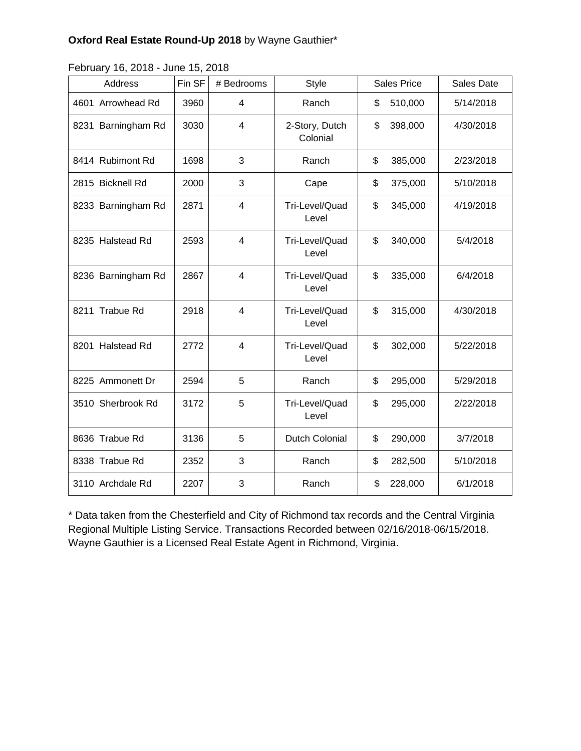## **Oxford Real Estate Round-Up 2018** by Wayne Gauthier\*

|  | February 16, 2018 - June 15, 2018 |  |
|--|-----------------------------------|--|
|--|-----------------------------------|--|

| Address            | Fin SF | # Bedrooms     | <b>Style</b>               | <b>Sales Price</b> | Sales Date |
|--------------------|--------|----------------|----------------------------|--------------------|------------|
| 4601 Arrowhead Rd  | 3960   | 4              | Ranch                      | \$<br>510,000      | 5/14/2018  |
| 8231 Barningham Rd | 3030   | 4              | 2-Story, Dutch<br>Colonial | \$<br>398,000      | 4/30/2018  |
| 8414 Rubimont Rd   | 1698   | 3              | Ranch                      | \$<br>385,000      | 2/23/2018  |
| 2815 Bicknell Rd   | 2000   | 3              | Cape                       | \$<br>375,000      | 5/10/2018  |
| 8233 Barningham Rd | 2871   | 4              | Tri-Level/Quad<br>Level    | \$<br>345,000      | 4/19/2018  |
| 8235 Halstead Rd   | 2593   | $\overline{4}$ | Tri-Level/Quad<br>Level    | \$<br>340,000      | 5/4/2018   |
| 8236 Barningham Rd | 2867   | $\overline{4}$ | Tri-Level/Quad<br>Level    | \$<br>335,000      | 6/4/2018   |
| 8211 Trabue Rd     | 2918   | $\overline{4}$ | Tri-Level/Quad<br>Level    | \$<br>315,000      | 4/30/2018  |
| 8201 Halstead Rd   | 2772   | $\overline{4}$ | Tri-Level/Quad<br>Level    | \$<br>302,000      | 5/22/2018  |
| 8225 Ammonett Dr   | 2594   | 5              | Ranch                      | \$<br>295,000      | 5/29/2018  |
| 3510 Sherbrook Rd  | 3172   | 5              | Tri-Level/Quad<br>Level    | \$<br>295,000      | 2/22/2018  |
| 8636 Trabue Rd     | 3136   | 5              | Dutch Colonial             | \$<br>290,000      | 3/7/2018   |
| 8338 Trabue Rd     | 2352   | 3              | Ranch                      | \$<br>282,500      | 5/10/2018  |
| 3110 Archdale Rd   | 2207   | 3              | Ranch                      | \$<br>228,000      | 6/1/2018   |

\* Data taken from the Chesterfield and City of Richmond tax records and the Central Virginia Regional Multiple Listing Service. Transactions Recorded between 02/16/2018-06/15/2018. Wayne Gauthier is a Licensed Real Estate Agent in Richmond, Virginia.